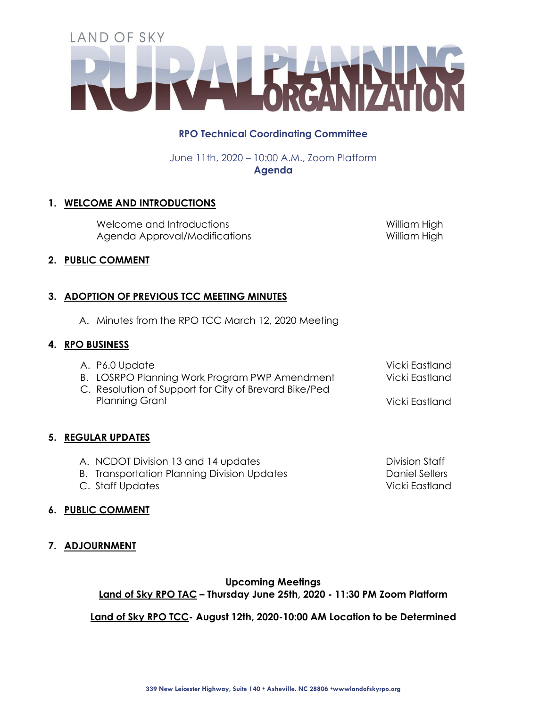# **RPO Technical Coordinating Committee**

June 11th, 2020 – 10:00 A.M., Zoom Platform **Agenda**

# **1. WELCOME AND INTRODUCTIONS**

Welcome and Introductions Notifiam High William High Agenda Approval/Modifications 
William High

Vicki Eastland Vicki Eastland

Division Staff Daniel Sellers

### **2. PUBLIC COMMENT**

# **3. ADOPTION OF PREVIOUS TCC MEETING MINUTES**

A. Minutes from the RPO TCC March 12, 2020 Meeting

#### **4. RPO BUSINESS**

- A. P6.0 Update
- B. LOSRPO Planning Work Program PWP Amendment
- C. Resolution of Support for City of Brevard Bike/Ped Planning Grant Vicki Eastland

# **5. REGULAR UPDATES**

- A. NCDOT Division 13 and 14 updates
- B. Transportation Planning Division Updates
- C. Staff Updates Vicki Eastland

# **6. PUBLIC COMMENT**

**7. ADJOURNMENT**

# **Upcoming Meetings Land of Sky RPO TAC – Thursday June 25th, 2020 - 11:30 PM Zoom Platform**

# **Land of Sky RPO TCC- August 12th, 2020-10:00 AM Location to be Determined**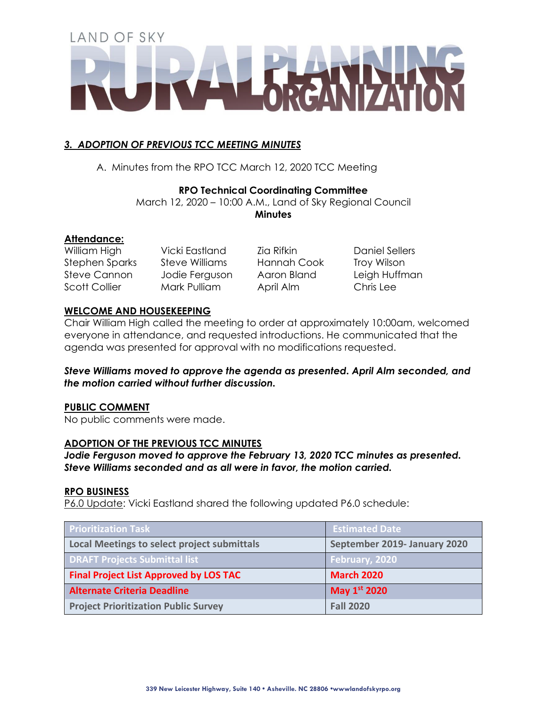# *3. ADOPTION OF PREVIOUS TCC MEETING MINUTES*

A. Minutes from the RPO TCC March 12, 2020 TCC Meeting

### **RPO Technical Coordinating Committee**

March 12, 2020 – 10:00 A.M., Land of Sky Regional Council **Minutes**

### **Attendance:**

William High Vicki Eastland Zia Rifkin Daniel Sellers Stephen Sparks Steve Williams Hannah Cook Troy Wilson Steve Cannon Jodie Ferguson Aaron Bland Leigh Huffman Scott Collier Mark Pulliam April Alm Chris Lee

# **WELCOME AND HOUSEKEEPING**

Chair William High called the meeting to order at approximately 10:00am, welcomed everyone in attendance, and requested introductions. He communicated that the agenda was presented for approval with no modifications requested.

### *Steve Williams moved to approve the agenda as presented. April Alm seconded, and the motion carried without further discussion.*

#### **PUBLIC COMMENT**

No public comments were made.

#### **ADOPTION OF THE PREVIOUS TCC MINUTES**

*Jodie Ferguson moved to approve the February 13, 2020 TCC minutes as presented. Steve Williams seconded and as all were in favor, the motion carried.*

#### **RPO BUSINESS**

P6.0 Update: Vicki Eastland shared the following updated P6.0 schedule:

| <b>Prioritization Task</b>                    | <b>Estimated Date</b>        |
|-----------------------------------------------|------------------------------|
| Local Meetings to select project submittals   | September 2019- January 2020 |
| <b>DRAFT Projects Submittal list</b>          | February, 2020               |
| <b>Final Project List Approved by LOS TAC</b> | <b>March 2020</b>            |
| <b>Alternate Criteria Deadline</b>            | May 1st 2020                 |
| <b>Project Prioritization Public Survey</b>   | <b>Fall 2020</b>             |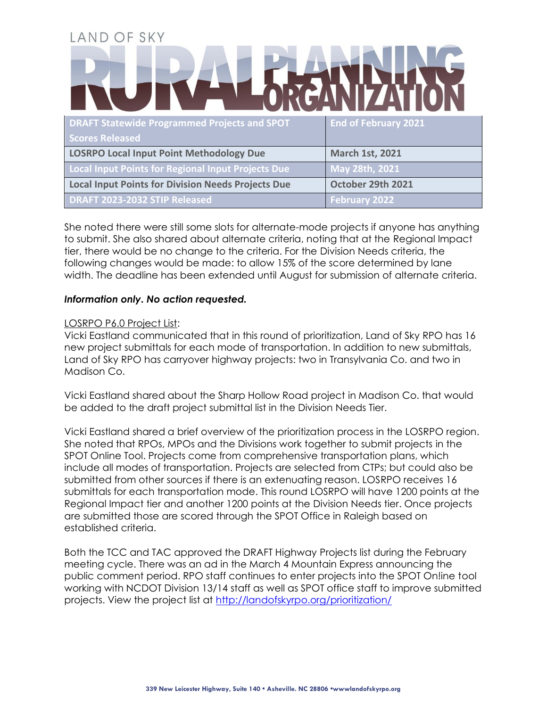| LAND OF SKY                                               |                             |  |
|-----------------------------------------------------------|-----------------------------|--|
|                                                           |                             |  |
| <b>DRAFT Statewide Programmed Projects and SPOT</b>       | <b>End of February 2021</b> |  |
| <b>Scores Released</b>                                    |                             |  |
| <b>LOSRPO Local Input Point Methodology Due</b>           | <b>March 1st, 2021</b>      |  |
| <b>Local Input Points for Regional Input Projects Due</b> | May 28th, 2021              |  |
| <b>Local Input Points for Division Needs Projects Due</b> | October 29th 2021           |  |
| DRAFT 2023-2032 STIP Released                             | <b>February 2022</b>        |  |

She noted there were still some slots for alternate-mode projects if anyone has anything to submit. She also shared about alternate criteria, noting that at the Regional Impact tier, there would be no change to the criteria. For the Division Needs criteria, the following changes would be made: to allow 15% of the score determined by lane width. The deadline has been extended until August for submission of alternate criteria.

#### *Information only. No action requested.*

#### LOSRPO P6.0 Project List:

Vicki Eastland communicated that in this round of prioritization, Land of Sky RPO has 16 new project submittals for each mode of transportation. In addition to new submittals, Land of Sky RPO has carryover highway projects: two in Transylvania Co. and two in Madison Co.

Vicki Eastland shared about the Sharp Hollow Road project in Madison Co. that would be added to the draft project submittal list in the Division Needs Tier.

Vicki Eastland shared a brief overview of the prioritization process in the LOSRPO region. She noted that RPOs, MPOs and the Divisions work together to submit projects in the SPOT Online Tool. Projects come from comprehensive transportation plans, which include all modes of transportation. Projects are selected from CTPs; but could also be submitted from other sources if there is an extenuating reason. LOSRPO receives 16 submittals for each transportation mode. This round LOSRPO will have 1200 points at the Regional Impact tier and another 1200 points at the Division Needs tier. Once projects are submitted those are scored through the SPOT Office in Raleigh based on established criteria.

Both the TCC and TAC approved the DRAFT Highway Projects list during the February meeting cycle. There was an ad in the March 4 Mountain Express announcing the public comment period. RPO staff continues to enter projects into the SPOT On!ine tool working with NCDOT Division 13/14 staff as well as SPOT office staff to improve submitted projects. View the project list at<http://landofskyrpo.org/prioritization/>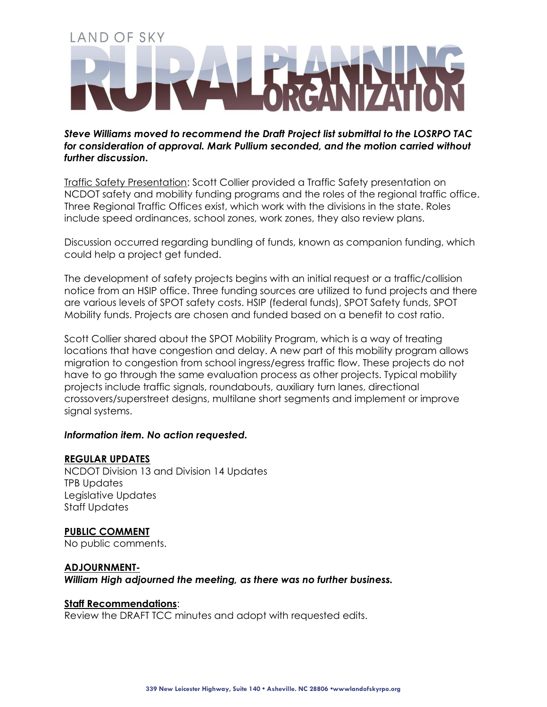*Steve Williams moved to recommend the Draft Project list submittal to the LOSRPO TAC for consideration of approval. Mark Pullium seconded, and the motion carried without further discussion.*

Traffic Safety Presentation: Scott Collier provided a Traffic Safety presentation on NCDOT safety and mobility funding programs and the roles of the regional traffic office. Three Regional Traffic Offices exist, which work with the divisions in the state. Roles include speed ordinances, school zones, work zones, they also review plans.

Discussion occurred regarding bundling of funds, known as companion funding, which could help a project get funded.

The development of safety projects begins with an initial request or a traffic/collision notice from an HSIP office. Three funding sources are utilized to fund projects and there are various levels of SPOT safety costs. HSIP (federal funds), SPOT Safety funds, SPOT Mobility funds. Projects are chosen and funded based on a benefit to cost ratio.

Scott Collier shared about the SPOT Mobility Program, which is a way of treating locations that have congestion and delay. A new part of this mobility program allows migration to congestion from school ingress/egress traffic flow. These projects do not have to go through the same evaluation process as other projects. Typical mobility projects include traffic signals, roundabouts, auxiliary turn lanes, directional crossovers/superstreet designs, multilane short segments and implement or improve signal systems.

#### *Information item. No action requested.*

#### **REGULAR UPDATES**

NCDOT Division 13 and Division 14 Updates TPB Updates Legislative Updates Staff Updates

**PUBLIC COMMENT**

No public comments.

#### **ADJOURNMENT-**

*William High adjourned the meeting, as there was no further business.* 

#### **Staff Recommendations**:

Review the DRAFT TCC minutes and adopt with requested edits.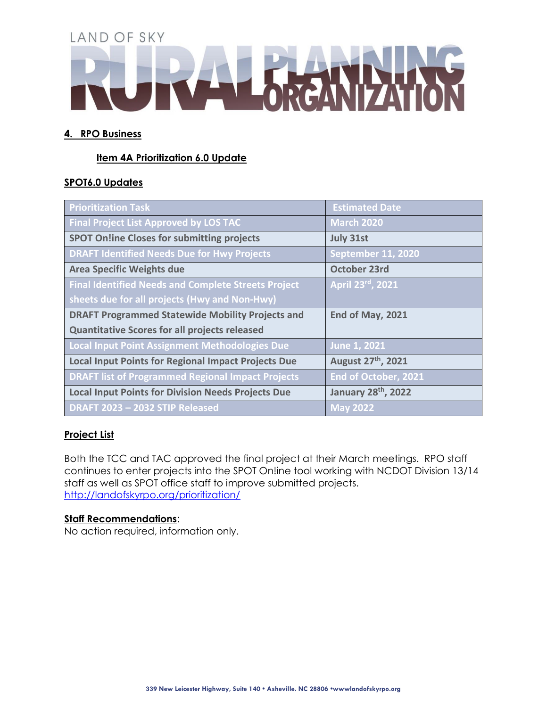# **4. RPO Business**

# **Item 4A Prioritization 6.0 Update**

# **SPOT6.0 Updates**

| <b>Prioritization Task</b>                                 | <b>Estimated Date</b>          |
|------------------------------------------------------------|--------------------------------|
| <b>Final Project List Approved by LOS TAC</b>              | March 2020                     |
| <b>SPOT On!ine Closes for submitting projects</b>          | <b>July 31st</b>               |
| <b>DRAFT Identified Needs Due for Hwy Projects</b>         | <b>September 11, 2020</b>      |
| <b>Area Specific Weights due</b>                           | <b>October 23rd</b>            |
| <b>Final Identified Needs and Complete Streets Project</b> | April 23rd, 2021               |
| sheets due for all projects (Hwy and Non-Hwy)              |                                |
| <b>DRAFT Programmed Statewide Mobility Projects and</b>    | End of May, 2021               |
| <b>Quantitative Scores for all projects released</b>       |                                |
| Local Input Point Assignment Methodologies Due             | June 1, 2021                   |
| <b>Local Input Points for Regional Impact Projects Due</b> | August 27 <sup>th</sup> , 2021 |
| <b>DRAFT list of Programmed Regional Impact Projects</b>   | End of October, 2021           |
| <b>Local Input Points for Division Needs Projects Due</b>  | January 28th, 2022             |
| DRAFT 2023 - 2032 STIP Released                            | $\sqrt{2022}$                  |

# **Project List**

Both the TCC and TAC approved the final project at their March meetings. RPO staff continues to enter projects into the SPOT On!ine tool working with NCDOT Division 13/14 staff as well as SPOT office staff to improve submitted projects. <http://landofskyrpo.org/prioritization/>

#### **Staff Recommendations**:

No action required, information only.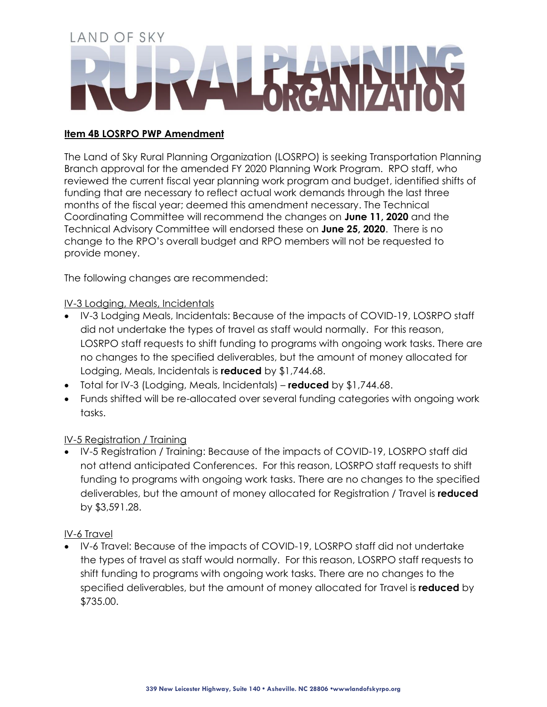# **Item 4B LOSRPO PWP Amendment**

The Land of Sky Rural Planning Organization (LOSRPO) is seeking Transportation Planning Branch approval for the amended FY 2020 Planning Work Program. RPO staff, who reviewed the current fiscal year planning work program and budget, identified shifts of funding that are necessary to reflect actual work demands through the last three months of the fiscal year; deemed this amendment necessary. The Technical Coordinating Committee will recommend the changes on **June 11, 2020** and the Technical Advisory Committee will endorsed these on **June 25, 2020**. There is no change to the RPO's overall budget and RPO members will not be requested to provide money.

The following changes are recommended:

# IV-3 Lodging, Meals, Incidentals

- IV-3 Lodging Meals, Incidentals: Because of the impacts of COVID-19, LOSRPO staff did not undertake the types of travel as staff would normally. For this reason, LOSRPO staff requests to shift funding to programs with ongoing work tasks. There are no changes to the specified deliverables, but the amount of money allocated for Lodging, Meals, Incidentals is **reduced** by \$1,744.68.
- Total for IV-3 (Lodging, Meals, Incidentals) **reduced** by \$1,744.68.
- Funds shifted will be re-allocated over several funding categories with ongoing work tasks.

# IV-5 Registration / Training

• IV-5 Registration / Training: Because of the impacts of COVID-19, LOSRPO staff did not attend anticipated Conferences. For this reason, LOSRPO staff requests to shift funding to programs with ongoing work tasks. There are no changes to the specified deliverables, but the amount of money allocated for Registration / Travel is **reduced** by \$3,591.28.

# IV-6 Travel

• IV-6 Travel: Because of the impacts of COVID-19, LOSRPO staff did not undertake the types of travel as staff would normally. For this reason, LOSRPO staff requests to shift funding to programs with ongoing work tasks. There are no changes to the specified deliverables, but the amount of money allocated for Travel is **reduced** by \$735.00.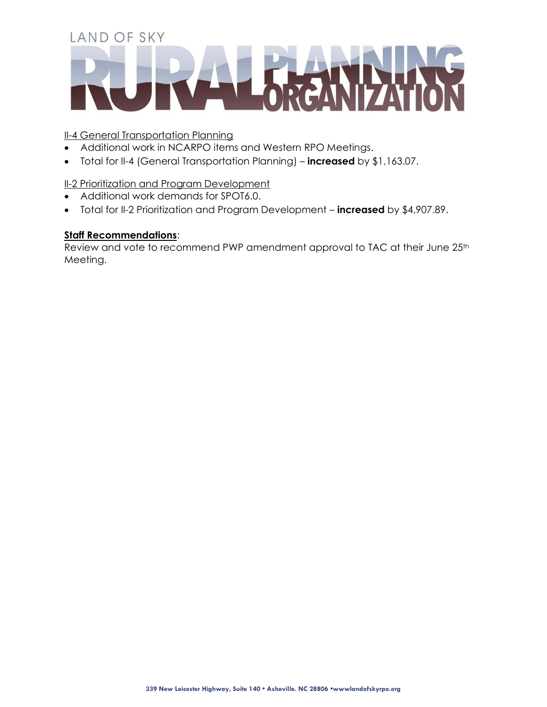## **II-4 General Transportation Planning**

- Additional work in NCARPO items and Western RPO Meetings.
- Total for II-4 (General Transportation Planning) **increased** by \$1,163.07.

# **II-2 Prioritization and Program Development**

- Additional work demands for SPOT6.0.
- Total for II-2 Prioritization and Program Development **increased** by \$4,907.89.

# **Staff Recommendations**:

Review and vote to recommend PWP amendment approval to TAC at their June 25<sup>th</sup> Meeting.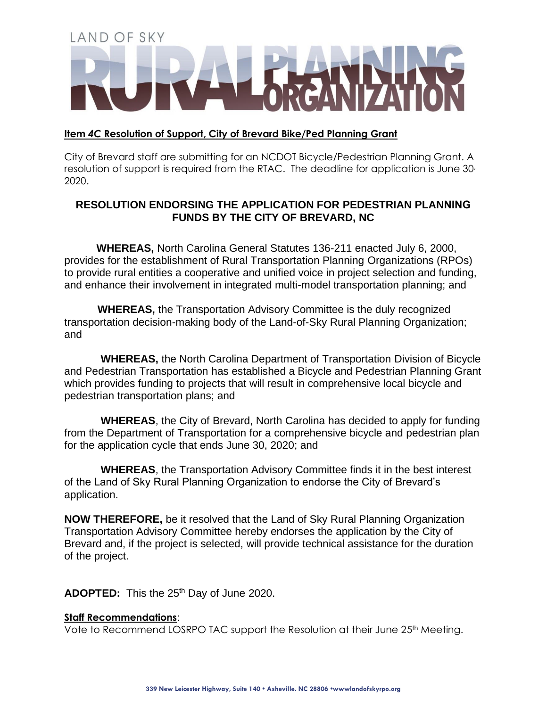#### **Item** *4C* **Resolution of Support, City of Brevard Bike/Ped Planning Grant**

City of Brevard staff are submitting for an NCDOT Bicycle/Pedestrian Planning Grant. A resolution of support is required from the RTAC. The deadline for application is June 30. 2020.

# **RESOLUTION ENDORSING THE APPLICATION FOR PEDESTRIAN PLANNING FUNDS BY THE CITY OF BREVARD, NC**

**WHEREAS,** North Carolina General Statutes 136-211 enacted July 6, 2000, provides for the establishment of Rural Transportation Planning Organizations (RPOs) to provide rural entities a cooperative and unified voice in project selection and funding, and enhance their involvement in integrated multi-model transportation planning; and

**WHEREAS,** the Transportation Advisory Committee is the duly recognized transportation decision-making body of the Land-of-Sky Rural Planning Organization; and

**WHEREAS,** the North Carolina Department of Transportation Division of Bicycle and Pedestrian Transportation has established a Bicycle and Pedestrian Planning Grant which provides funding to projects that will result in comprehensive local bicycle and pedestrian transportation plans; and

**WHEREAS**, the City of Brevard, North Carolina has decided to apply for funding from the Department of Transportation for a comprehensive bicycle and pedestrian plan for the application cycle that ends June 30, 2020; and

**WHEREAS**, the Transportation Advisory Committee finds it in the best interest of the Land of Sky Rural Planning Organization to endorse the City of Brevard's application.

**NOW THEREFORE,** be it resolved that the Land of Sky Rural Planning Organization Transportation Advisory Committee hereby endorses the application by the City of Brevard and, if the project is selected, will provide technical assistance for the duration of the project.

ADOPTED: This the 25<sup>th</sup> Day of June 2020.

#### **Staff Recommendations**:

Vote to Recommend LOSRPO TAC support the Resolution at their June 25<sup>th</sup> Meeting.